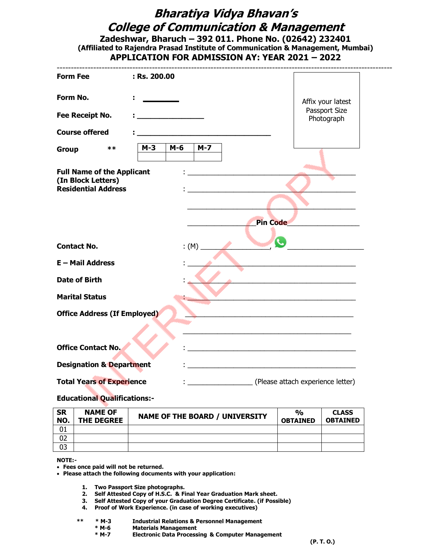## **Bharatiya Vidya Bhavan's College of Communication & Management**

**Zadeshwar, Bharuch – 392 011. Phone No. (02642) 232401 (Affiliated to Rajendra Prasad Institute of Communication & Management, Mumbai) APPLICATION FOR ADMISSION AY: YEAR 2021 – 2022**

| <b>Form Fee</b>                                  | $\blacksquare$ : Rs. 200.00 |     |             |                                                 |                                   |
|--------------------------------------------------|-----------------------------|-----|-------------|-------------------------------------------------|-----------------------------------|
| Form No.                                         | ÷                           |     |             |                                                 | Affix your latest                 |
| Fee Receipt No.                                  |                             |     |             |                                                 | Passport Size<br>Photograph       |
| <b>Course offered</b>                            |                             |     |             |                                                 |                                   |
| **<br><b>Group</b>                               | $M-3$                       | M-6 | $M - 7$     |                                                 |                                   |
| <b>Full Name of the Applicant</b>                |                             |     |             | <u> 1989 - Johann John Stone, mars et al. (</u> |                                   |
| (In Block Letters)<br><b>Residential Address</b> |                             |     |             |                                                 |                                   |
|                                                  |                             |     |             |                                                 |                                   |
|                                                  |                             |     |             | <b>Pin Code</b>                                 |                                   |
| <b>Contact No.</b>                               |                             |     | $:(M)$ $\_$ |                                                 |                                   |
|                                                  |                             |     |             |                                                 |                                   |
| $E -$ Mail Address                               |                             |     |             |                                                 |                                   |
| <b>Date of Birth</b>                             |                             |     |             |                                                 |                                   |
| <b>Marital Status</b>                            |                             |     |             |                                                 |                                   |
| <b>Office Address (If Employed)</b>              |                             |     |             |                                                 |                                   |
|                                                  |                             |     |             |                                                 |                                   |
| <b>Office Contact No.</b>                        |                             |     |             |                                                 |                                   |
| <b>Designation &amp; Department</b>              |                             |     |             |                                                 |                                   |
| <b>Total Years of Experience</b>                 |                             |     |             |                                                 | (Please attach experience letter) |

**Educational Qualifications:-**

| <b>SR</b><br>NO. | <b>NAME OF</b><br><b>THE DEGREE</b> | <b>NAME OF THE BOARD / UNIVERSITY</b> | $\frac{1}{2}$<br><b>OBTAINED</b> | <b>CLASS</b><br><b>OBTAINED</b> |
|------------------|-------------------------------------|---------------------------------------|----------------------------------|---------------------------------|
| 01               |                                     |                                       |                                  |                                 |
| 02               |                                     |                                       |                                  |                                 |
| 03               |                                     |                                       |                                  |                                 |

**NOTE:-**

**Fees once paid will not be returned.** 

**Please attach the following documents with your application:**

**1. Two Passport Size photographs.**

- **2. Self Attested Copy of H.S.C. & Final Year Graduation Mark sheet.**
- **3. Self Attested Copy of your Graduation Degree Certificate. (if Possible)**
- **4. Proof of Work Experience. (in case of working executives)**
- **\*\* \* M-3 Industrial Relations & Personnel Management**
	- **Materials Management**
	- **\* M-7 Electronic Data Processing & Computer Management**